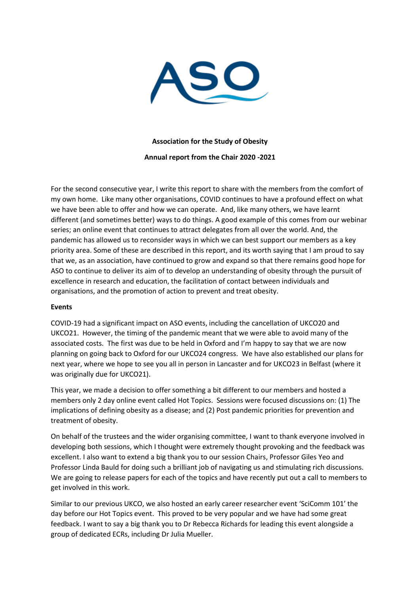

#### **Association for the Study of Obesity**

**Annual report from the Chair 2020 -2021** 

For the second consecutive year, I write this report to share with the members from the comfort of my own home. Like many other organisations, COVID continues to have a profound effect on what we have been able to offer and how we can operate. And, like many others, we have learnt different (and sometimes better) ways to do things. A good example of this comes from our webinar series; an online event that continues to attract delegates from all over the world. And, the pandemic has allowed us to reconsider ways in which we can best support our members as a key priority area. Some of these are described in this report, and its worth saying that I am proud to say that we, as an association, have continued to grow and expand so that there remains good hope for ASO to continue to deliver its aim of to develop an understanding of obesity through the pursuit of excellence in research and education, the facilitation of contact between individuals and organisations, and the promotion of action to prevent and treat obesity.

#### **Events**

COVID-19 had a significant impact on ASO events, including the cancellation of UKCO20 and UKCO21. However, the timing of the pandemic meant that we were able to avoid many of the associated costs. The first was due to be held in Oxford and I'm happy to say that we are now planning on going back to Oxford for our UKCO24 congress. We have also established our plans for next year, where we hope to see you all in person in Lancaster and for UKCO23 in Belfast (where it was originally due for UKCO21).

This year, we made a decision to offer something a bit different to our members and hosted a members only 2 day online event called Hot Topics. Sessions were focused discussions on: (1) The implications of defining obesity as a disease; and (2) Post pandemic priorities for prevention and treatment of obesity.

On behalf of the trustees and the wider organising committee, I want to thank everyone involved in developing both sessions, which I thought were extremely thought provoking and the feedback was excellent. I also want to extend a big thank you to our session Chairs, Professor Giles Yeo and Professor Linda Bauld for doing such a brilliant job of navigating us and stimulating rich discussions. We are going to release papers for each of the topics and have recently put out a call to members to get involved in this work.

Similar to our previous UKCO, we also hosted an early career researcher event 'SciComm 101' the day before our Hot Topics event. This proved to be very popular and we have had some great feedback. I want to say a big thank you to Dr Rebecca Richards for leading this event alongside a group of dedicated ECRs, including Dr Julia Mueller.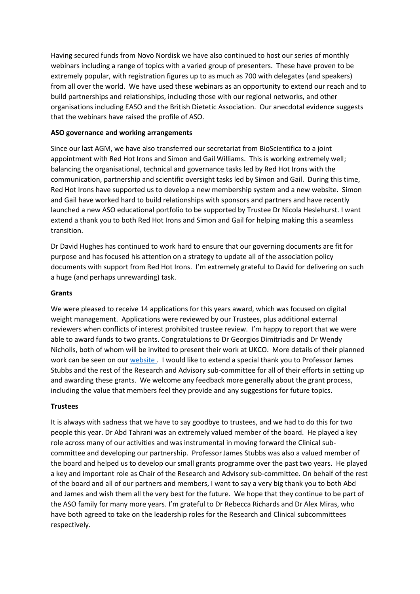Having secured funds from Novo Nordisk we have also continued to host our series of monthly webinars including a range of topics with a varied group of presenters. These have proven to be extremely popular, with registration figures up to as much as 700 with delegates (and speakers) from all over the world. We have used these webinars as an opportunity to extend our reach and to build partnerships and relationships, including those with our regional networks, and other organisations including EASO and the British Dietetic Association. Our anecdotal evidence suggests that the webinars have raised the profile of ASO.

## **ASO governance and working arrangements**

Since our last AGM, we have also transferred our secretariat from BioScientifica to a joint appointment with Red Hot Irons and Simon and Gail Williams. This is working extremely well; balancing the organisational, technical and governance tasks led by Red Hot Irons with the communication, partnership and scientific oversight tasks led by Simon and Gail. During this time, Red Hot Irons have supported us to develop a new membership system and a new website. Simon and Gail have worked hard to build relationships with sponsors and partners and have recently launched a new ASO educational portfolio to be supported by Trustee Dr Nicola Heslehurst. I want extend a thank you to both Red Hot Irons and Simon and Gail for helping making this a seamless transition.

Dr David Hughes has continued to work hard to ensure that our governing documents are fit for purpose and has focused his attention on a strategy to update all of the association policy documents with support from Red Hot Irons. I'm extremely grateful to David for delivering on such a huge (and perhaps unrewarding) task.

## **Grants**

We were pleased to receive 14 applications for this years award, which was focused on digital weight management. Applications were reviewed by our Trustees, plus additional external reviewers when conflicts of interest prohibited trustee review. I'm happy to report that we were able to award funds to two grants. Congratulations to Dr Georgios Dimitriadis and Dr Wendy Nicholls, both of whom will be invited to present their work at UKCO. More details of their planned work can be seen on ou[r website .](https://aso.org.uk/news/results-aso-small-grant-evaluating-remote-and-digital-weight-management-services-research) I would like to extend a special thank you to Professor James Stubbs and the rest of the Research and Advisory sub-committee for all of their efforts in setting up and awarding these grants. We welcome any feedback more generally about the grant process, including the value that members feel they provide and any suggestions for future topics.

# **Trustees**

It is always with sadness that we have to say goodbye to trustees, and we had to do this for two people this year. Dr Abd Tahrani was an extremely valued member of the board. He played a key role across many of our activities and was instrumental in moving forward the Clinical subcommittee and developing our partnership. Professor James Stubbs was also a valued member of the board and helped us to develop our small grants programme over the past two years. He played a key and important role as Chair of the Research and Advisory sub-committee. On behalf of the rest of the board and all of our partners and members, I want to say a very big thank you to both Abd and James and wish them all the very best for the future. We hope that they continue to be part of the ASO family for many more years. I'm grateful to Dr Rebecca Richards and Dr Alex Miras, who have both agreed to take on the leadership roles for the Research and Clinical subcommittees respectively.